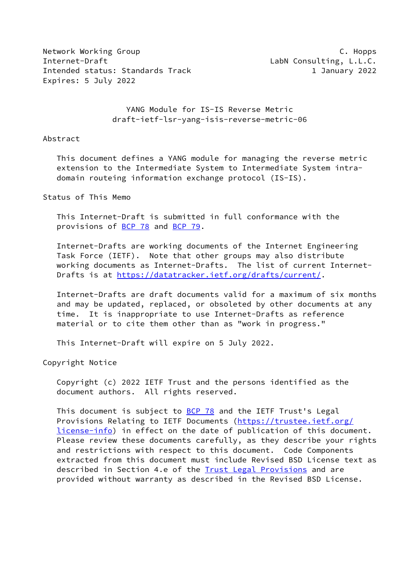Network Working Group **C. Hopps** Internet-Draft **LabN** Consulting, L.L.C. Intended status: Standards Track 1 January 2022 Expires: 5 July 2022

 YANG Module for IS-IS Reverse Metric draft-ietf-lsr-yang-isis-reverse-metric-06

#### Abstract

 This document defines a YANG module for managing the reverse metric extension to the Intermediate System to Intermediate System intra domain routeing information exchange protocol (IS-IS).

Status of This Memo

 This Internet-Draft is submitted in full conformance with the provisions of [BCP 78](https://datatracker.ietf.org/doc/pdf/bcp78) and [BCP 79](https://datatracker.ietf.org/doc/pdf/bcp79).

 Internet-Drafts are working documents of the Internet Engineering Task Force (IETF). Note that other groups may also distribute working documents as Internet-Drafts. The list of current Internet- Drafts is at<https://datatracker.ietf.org/drafts/current/>.

 Internet-Drafts are draft documents valid for a maximum of six months and may be updated, replaced, or obsoleted by other documents at any time. It is inappropriate to use Internet-Drafts as reference material or to cite them other than as "work in progress."

This Internet-Draft will expire on 5 July 2022.

Copyright Notice

 Copyright (c) 2022 IETF Trust and the persons identified as the document authors. All rights reserved.

 This document is subject to [BCP 78](https://datatracker.ietf.org/doc/pdf/bcp78) and the IETF Trust's Legal Provisions Relating to IETF Documents ([https://trustee.ietf.org/](https://trustee.ietf.org/license-info) [license-info](https://trustee.ietf.org/license-info)) in effect on the date of publication of this document. Please review these documents carefully, as they describe your rights and restrictions with respect to this document. Code Components extracted from this document must include Revised BSD License text as described in Section 4.e of the **Trust Legal Provisions** and are provided without warranty as described in the Revised BSD License.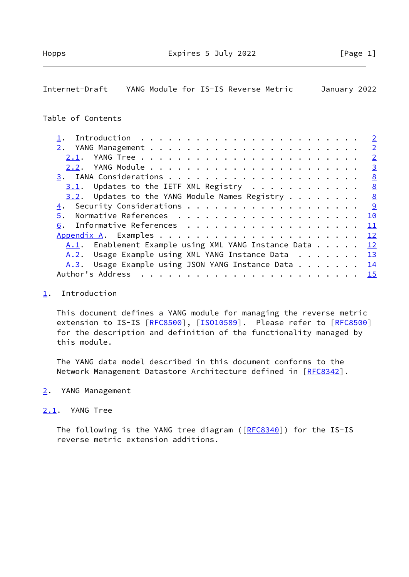# <span id="page-1-1"></span>Internet-Draft YANG Module for IS-IS Reverse Metric January 2022

## Table of Contents

|    |                                                         |  |  |  |  |  |  |  |  |  |  | $\overline{2}$ |
|----|---------------------------------------------------------|--|--|--|--|--|--|--|--|--|--|----------------|
|    |                                                         |  |  |  |  |  |  |  |  |  |  | $\overline{2}$ |
|    |                                                         |  |  |  |  |  |  |  |  |  |  | $\overline{2}$ |
|    |                                                         |  |  |  |  |  |  |  |  |  |  | <u>3</u>       |
|    |                                                         |  |  |  |  |  |  |  |  |  |  | 8              |
|    | $3.1$ . Updates to the IETF XML Registry                |  |  |  |  |  |  |  |  |  |  | $\frac{8}{2}$  |
|    | $3.2$ . Updates to the YANG Module Names Registry 8     |  |  |  |  |  |  |  |  |  |  |                |
|    |                                                         |  |  |  |  |  |  |  |  |  |  | <u>9</u>       |
|    |                                                         |  |  |  |  |  |  |  |  |  |  | 10             |
| 6. |                                                         |  |  |  |  |  |  |  |  |  |  | $\perp$        |
|    |                                                         |  |  |  |  |  |  |  |  |  |  | 12             |
|    | A.1. Enablement Example using XML YANG Instance Data 12 |  |  |  |  |  |  |  |  |  |  |                |
|    | A.2. Usage Example using XML YANG Instance Data 13      |  |  |  |  |  |  |  |  |  |  |                |
|    | A.3. Usage Example using JSON YANG Instance Data 14     |  |  |  |  |  |  |  |  |  |  |                |
|    |                                                         |  |  |  |  |  |  |  |  |  |  |                |

### <span id="page-1-0"></span>[1](#page-1-0). Introduction

 This document defines a YANG module for managing the reverse metric extension to IS-IS [[RFC8500\]](https://datatracker.ietf.org/doc/pdf/rfc8500), [[ISO10589\]](#page-11-2). Please refer to [RFC8500] for the description and definition of the functionality managed by this module.

 The YANG data model described in this document conforms to the Network Management Datastore Architecture defined in [\[RFC8342](https://datatracker.ietf.org/doc/pdf/rfc8342)].

### <span id="page-1-2"></span>[2](#page-1-2). YANG Management

## <span id="page-1-3"></span>[2.1](#page-1-3). YANG Tree

The following is the YANG tree diagram ([\[RFC8340](https://datatracker.ietf.org/doc/pdf/rfc8340)]) for the IS-IS reverse metric extension additions.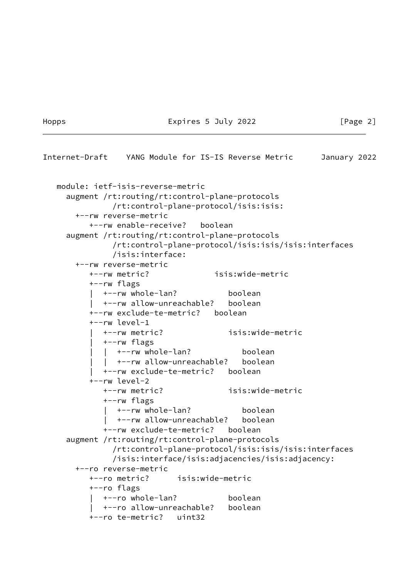#### Hopps Expires 5 July 2022 [Page 2]

```
Internet-Draft YANG Module for IS-IS Reverse Metric January 2022
   module: ietf-isis-reverse-metric
     augment /rt:routing/rt:control-plane-protocols
               /rt:control-plane-protocol/isis:isis:
       +--rw reverse-metric
          +--rw enable-receive? boolean
     augment /rt:routing/rt:control-plane-protocols
               /rt:control-plane-protocol/isis:isis/isis:interfaces
               /isis:interface:
       +--rw reverse-metric
          +--rw metric? isis:wide-metric
          +--rw flags
             | +--rw whole-lan? boolean
             | +--rw allow-unreachable? boolean
          +--rw exclude-te-metric? boolean
          +--rw level-1
             | +--rw metric? isis:wide-metric
             | +--rw flags
            | +--rw whole-lan? boolean
                | | +--rw allow-unreachable? boolean
             | +--rw exclude-te-metric? boolean
          +--rw level-2
             +--rw metric? isis:wide-metric
             +--rw flags
               | +--rw whole-lan? boolean
             | +--rw allow-unreachable? boolean
             +--rw exclude-te-metric? boolean
     augment /rt:routing/rt:control-plane-protocols
               /rt:control-plane-protocol/isis:isis/isis:interfaces
               /isis:interface/isis:adjacencies/isis:adjacency:
       +--ro reverse-metric
          +--ro metric? isis:wide-metric
          +--ro flags
          | +--ro whole-lan? boolean
             | +--ro allow-unreachable? boolean
          +--ro te-metric? uint32
```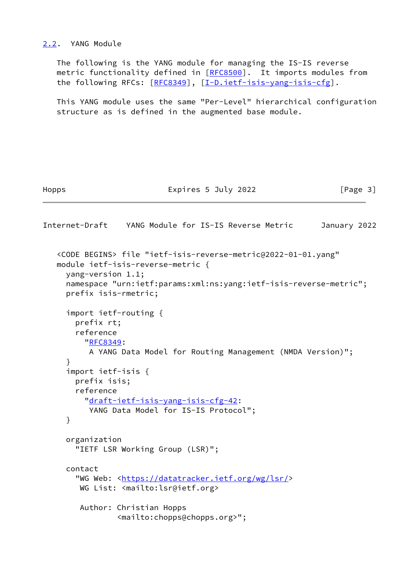<span id="page-3-0"></span>[2.2](#page-3-0). YANG Module

 The following is the YANG module for managing the IS-IS reverse metric functionality defined in [\[RFC8500](https://datatracker.ietf.org/doc/pdf/rfc8500)]. It imports modules from the following RFCs: [\[RFC8349](https://datatracker.ietf.org/doc/pdf/rfc8349)], [\[I-D.ietf-isis-yang-isis-cfg](#page-12-2)].

 This YANG module uses the same "Per-Level" hierarchical configuration structure as is defined in the augmented base module.

### Hopps Expires 5 July 2022 [Page 3]

Internet-Draft YANG Module for IS-IS Reverse Metric January 2022 <CODE BEGINS> file "ietf-isis-reverse-metric@2022-01-01.yang" module ietf-isis-reverse-metric { yang-version 1.1; namespace "urn:ietf:params:xml:ns:yang:ietf-isis-reverse-metric"; prefix isis-rmetric; import ietf-routing { prefix rt; reference "[RFC8349](https://datatracker.ietf.org/doc/pdf/rfc8349): A YANG Data Model for Routing Management (NMDA Version)"; } import ietf-isis { prefix isis; reference "[draft-ietf-isis-yang-isis-cfg-42:](https://datatracker.ietf.org/doc/pdf/draft-ietf-isis-yang-isis-cfg-42) YANG Data Model for IS-IS Protocol"; } organization "IETF LSR Working Group (LSR)"; contact "WG Web: [<https://datatracker.ietf.org/wg/lsr/](https://datatracker.ietf.org/wg/lsr/)> WG List: <mailto:lsr@ietf.org> Author: Christian Hopps <mailto:chopps@chopps.org>";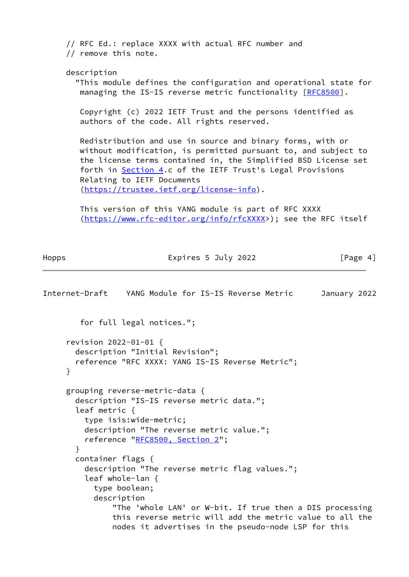// RFC Ed.: replace XXXX with actual RFC number and // remove this note. description "This module defines the configuration and operational state for managing the IS-IS reverse metric functionality [\[RFC8500](https://datatracker.ietf.org/doc/pdf/rfc8500)]. Copyright (c) 2022 IETF Trust and the persons identified as authors of the code. All rights reserved. Redistribution and use in source and binary forms, with or without modification, is permitted pursuant to, and subject to the license terms contained in, the Simplified BSD License set forth in **Section 4.c** of the IETF Trust's Legal Provisions Relating to IETF Documents [\(https://trustee.ietf.org/license-info\)](https://trustee.ietf.org/license-info). This version of this YANG module is part of RFC XXXX [\(https://www.rfc-editor.org/info/rfcXXXX](https://www.rfc-editor.org/info/rfcXXXX)>); see the RFC itself

Hopps Expires 5 July 2022 [Page 4]

```
Internet-Draft YANG Module for IS-IS Reverse Metric January 2022
         for full legal notices.";
      revision 2022-01-01 {
        description "Initial Revision";
        reference "RFC XXXX: YANG IS-IS Reverse Metric";
      }
      grouping reverse-metric-data {
        description "IS-IS reverse metric data.";
        leaf metric {
          type isis:wide-metric;
          description "The reverse metric value.";
          reference "RFC8500, Section 2";
        }
        container flags {
          description "The reverse metric flag values.";
          leaf whole-lan {
            type boolean;
            description
                "The 'whole LAN' or W-bit. If true then a DIS processing
                this reverse metric will add the metric value to all the
                nodes it advertises in the pseudo-node LSP for this
```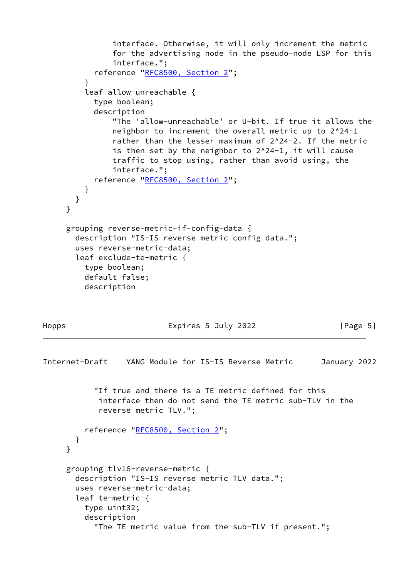```
 interface. Otherwise, it will only increment the metric
                for the advertising node in the pseudo-node LSP for this
                interface.";
            reference "RFC8500, Section 2";
 }
          leaf allow-unreachable {
           type boolean;
            description
                "The 'allow-unreachable' or U-bit. If true it allows the
               neighbor to increment the overall metric up to 2^24-1
                rather than the lesser maximum of 2^24-2. If the metric
               is then set by the neighbor to 2^24-1, it will cause
               traffic to stop using, rather than avoid using, the
                interface.";
            reference "RFC8500, Section 2";
         }
       }
     }
     grouping reverse-metric-if-config-data {
       description "IS-IS reverse metric config data.";
       uses reverse-metric-data;
       leaf exclude-te-metric {
         type boolean;
         default false;
         description
Hopps Expires 5 July 2022 [Page 5]
Internet-Draft YANG Module for IS-IS Reverse Metric January 2022
            "If true and there is a TE metric defined for this
            interface then do not send the TE metric sub-TLV in the
            reverse metric TLV.";
          reference "RFC8500, Section 2";
       }
     }
     grouping tlv16-reverse-metric {
```

```
 description "IS-IS reverse metric TLV data.";
 uses reverse-metric-data;
 leaf te-metric {
   type uint32;
   description
```

```
 "The TE metric value from the sub-TLV if present.";
```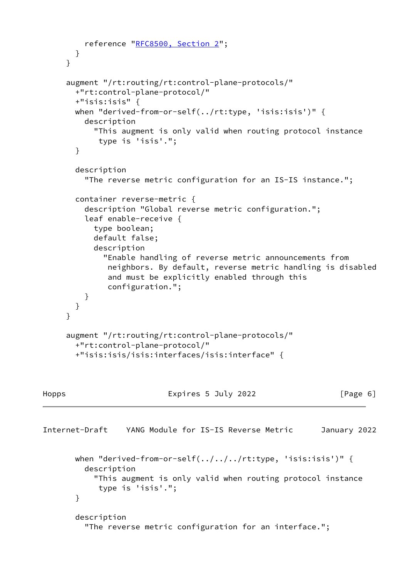```
 reference "RFC8500, Section 2";
        }
      }
      augment "/rt:routing/rt:control-plane-protocols/"
        +"rt:control-plane-protocol/"
        +"isis:isis" {
        when "derived-from-or-self(../rt:type, 'isis:isis')" {
          description
            "This augment is only valid when routing protocol instance
             type is 'isis'.";
        }
        description
          "The reverse metric configuration for an IS-IS instance.";
        container reverse-metric {
          description "Global reverse metric configuration.";
          leaf enable-receive {
            type boolean;
            default false;
            description
              "Enable handling of reverse metric announcements from
               neighbors. By default, reverse metric handling is disabled
               and must be explicitly enabled through this
               configuration.";
          }
       }
      }
      augment "/rt:routing/rt:control-plane-protocols/"
        +"rt:control-plane-protocol/"
        +"isis:isis/isis:interfaces/isis:interface" {
Hopps Expires 5 July 2022 [Page 6]
Internet-Draft YANG Module for IS-IS Reverse Metric January 2022
       when "derived-from-or-self(.../../../rt:type, 'isis:isis')" {
          description
            "This augment is only valid when routing protocol instance
             type is 'isis'.";
        }
        description
          "The reverse metric configuration for an interface.";
```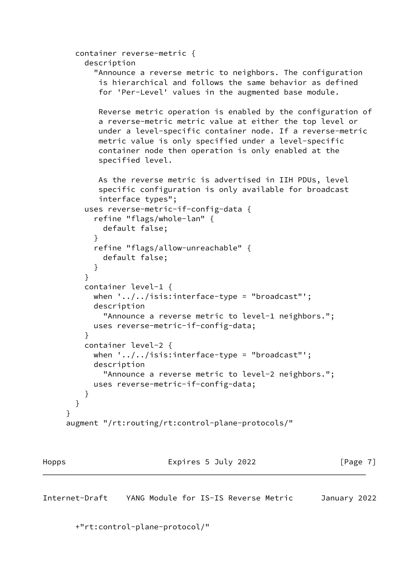```
 container reverse-metric {
          description
            "Announce a reverse metric to neighbors. The configuration
            is hierarchical and follows the same behavior as defined
            for 'Per-Level' values in the augmented base module.
            Reverse metric operation is enabled by the configuration of
            a reverse-metric metric value at either the top level or
            under a level-specific container node. If a reverse-metric
            metric value is only specified under a level-specific
            container node then operation is only enabled at the
            specified level.
            As the reverse metric is advertised in IIH PDUs, level
            specific configuration is only available for broadcast
            interface types";
          uses reverse-metric-if-config-data {
            refine "flags/whole-lan" {
             default false;
 }
            refine "flags/allow-unreachable" {
              default false;
 }
 }
         container level-1 {
          when \cdot../../isis:interface-type = "broadcast"';
           description
              "Announce a reverse metric to level-1 neighbors.";
           uses reverse-metric-if-config-data;
 }
         container level-2 {
          when '../../isis:interface-type = "broadcast"';
           description
              "Announce a reverse metric to level-2 neighbors.";
           uses reverse-metric-if-config-data;
         }
       }
     }
     augment "/rt:routing/rt:control-plane-protocols/"
```
Hopps Expires 5 July 2022 [Page 7]

<span id="page-7-0"></span>Internet-Draft YANG Module for IS-IS Reverse Metric January 2022

+"rt:control-plane-protocol/"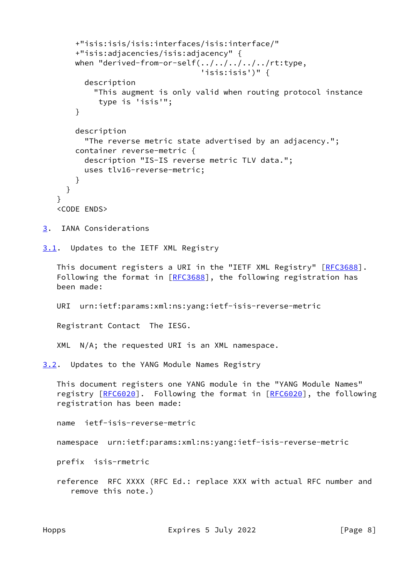```
 +"isis:isis/isis:interfaces/isis:interface/"
       +"isis:adjacencies/isis:adjacency" {
       when "derived-from-or-self(../../../../../rt:type,
                                 'isis:isis')" {
         description
           "This augment is only valid when routing protocol instance
            type is 'isis'";
       }
       description
         "The reverse metric state advertised by an adjacency.";
       container reverse-metric {
         description "IS-IS reverse metric TLV data.";
         uses tlv16-reverse-metric;
       }
     }
   }
   <CODE ENDS>
3. IANA Considerations
3.1. Updates to the IETF XML Registry
  [RFC3688].
  [RFC3688], the following registration has
   been made:
   URI urn:ietf:params:xml:ns:yang:ietf-isis-reverse-metric
   Registrant Contact The IESG.
   XML N/A; the requested URI is an XML namespace.
3.2. Updates to the YANG Module Names Registry
   This document registers one YANG module in the "YANG Module Names"
   [RFC6020]. Following the format in [RFC6020], the following
   registration has been made:
   name ietf-isis-reverse-metric
   namespace urn:ietf:params:xml:ns:yang:ietf-isis-reverse-metric
   prefix isis-rmetric
   reference RFC XXXX (RFC Ed.: replace XXX with actual RFC number and
      remove this note.)
```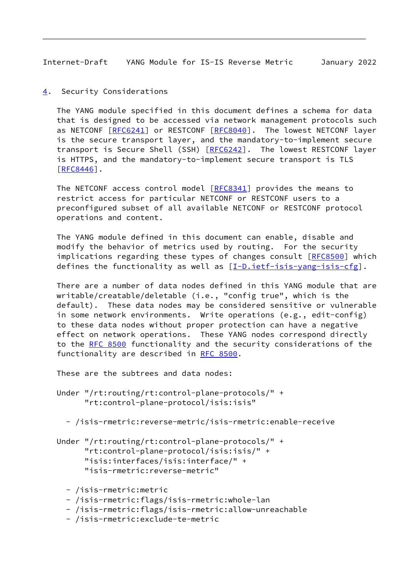<span id="page-9-1"></span>Internet-Draft YANG Module for IS-IS Reverse Metric January 2022

<span id="page-9-0"></span>[4](#page-9-0). Security Considerations

 The YANG module specified in this document defines a schema for data that is designed to be accessed via network management protocols such as NETCONF [[RFC6241\]](https://datatracker.ietf.org/doc/pdf/rfc6241) or RESTCONF [\[RFC8040](https://datatracker.ietf.org/doc/pdf/rfc8040)]. The lowest NETCONF layer is the secure transport layer, and the mandatory-to-implement secure transport is Secure Shell (SSH) [\[RFC6242](https://datatracker.ietf.org/doc/pdf/rfc6242)]. The lowest RESTCONF layer is HTTPS, and the mandatory-to-implement secure transport is TLS [\[RFC8446](https://datatracker.ietf.org/doc/pdf/rfc8446)].

The NETCONF access control model [\[RFC8341](https://datatracker.ietf.org/doc/pdf/rfc8341)] provides the means to restrict access for particular NETCONF or RESTCONF users to a preconfigured subset of all available NETCONF or RESTCONF protocol operations and content.

 The YANG module defined in this document can enable, disable and modify the behavior of metrics used by routing. For the security implications regarding these types of changes consult [[RFC8500](https://datatracker.ietf.org/doc/pdf/rfc8500)] which defines the functionality as well as [\[I-D.ietf-isis-yang-isis-cfg](#page-12-2)].

 There are a number of data nodes defined in this YANG module that are writable/creatable/deletable (i.e., "config true", which is the default). These data nodes may be considered sensitive or vulnerable in some network environments. Write operations (e.g., edit-config) to these data nodes without proper protection can have a negative effect on network operations. These YANG nodes correspond directly to the [RFC 8500](https://datatracker.ietf.org/doc/pdf/rfc8500) functionality and the security considerations of the functionality are described in [RFC 8500.](https://datatracker.ietf.org/doc/pdf/rfc8500)

These are the subtrees and data nodes:

- Under "/rt:routing/rt:control-plane-protocols/" + "rt:control-plane-protocol/isis:isis"
	- /isis-rmetric:reverse-metric/isis-rmetric:enable-receive
- Under "/rt:routing/rt:control-plane-protocols/" + "rt:control-plane-protocol/isis:isis/" + "isis:interfaces/isis:interface/" + "isis-rmetric:reverse-metric"
	- /isis-rmetric:metric
	- /isis-rmetric:flags/isis-rmetric:whole-lan
	- /isis-rmetric:flags/isis-rmetric:allow-unreachable
	- /isis-rmetric:exclude-te-metric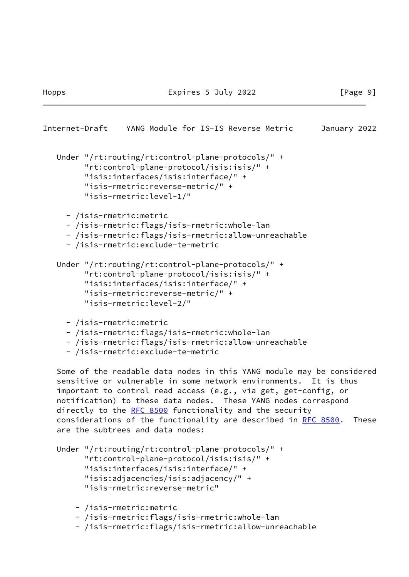```
Internet-Draft YANG Module for IS-IS Reverse Metric January 2022
   Under "/rt:routing/rt:control-plane-protocols/" +
         "rt:control-plane-protocol/isis:isis/" +
         "isis:interfaces/isis:interface/" +
         "isis-rmetric:reverse-metric/" +
         "isis-rmetric:level-1/"
     - /isis-rmetric:metric
     - /isis-rmetric:flags/isis-rmetric:whole-lan
     - /isis-rmetric:flags/isis-rmetric:allow-unreachable
     - /isis-rmetric:exclude-te-metric
   Under "/rt:routing/rt:control-plane-protocols/" +
         "rt:control-plane-protocol/isis:isis/" +
         "isis:interfaces/isis:interface/" +
         "isis-rmetric:reverse-metric/" +
         "isis-rmetric:level-2/"
     - /isis-rmetric:metric
     - /isis-rmetric:flags/isis-rmetric:whole-lan
     - /isis-rmetric:flags/isis-rmetric:allow-unreachable
     - /isis-rmetric:exclude-te-metric
   Some of the readable data nodes in this YANG module may be considered
   sensitive or vulnerable in some network environments. It is thus
   important to control read access (e.g., via get, get-config, or
   notification) to these data nodes. These YANG nodes correspond
   RFC 8500 functionality and the security
   RFC 8500. These
   are the subtrees and data nodes:
```

```
 Under "/rt:routing/rt:control-plane-protocols/" +
       "rt:control-plane-protocol/isis:isis/" +
       "isis:interfaces/isis:interface/" +
       "isis:adjacencies/isis:adjacency/" +
       "isis-rmetric:reverse-metric"
```
- /isis-rmetric:metric
- /isis-rmetric:flags/isis-rmetric:whole-lan
- /isis-rmetric:flags/isis-rmetric:allow-unreachable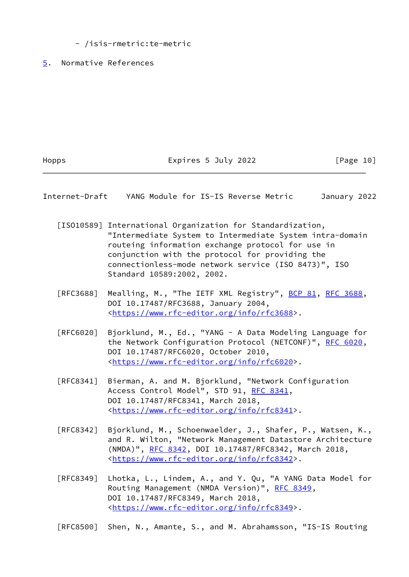<span id="page-11-0"></span>- /isis-rmetric:te-metric

Hopps Expires 5 July 2022 [Page 10]

<span id="page-11-1"></span>Internet-Draft YANG Module for IS-IS Reverse Metric January 2022

- <span id="page-11-2"></span> [ISO10589] International Organization for Standardization, "Intermediate System to Intermediate System intra-domain routeing information exchange protocol for use in conjunction with the protocol for providing the connectionless-mode network service (ISO 8473)", ISO Standard 10589:2002, 2002.
- [RFC3688] Mealling, M., "The IETF XML Registry", [BCP 81](https://datatracker.ietf.org/doc/pdf/bcp81), [RFC 3688](https://datatracker.ietf.org/doc/pdf/rfc3688), DOI 10.17487/RFC3688, January 2004, <[https://www.rfc-editor.org/info/rfc3688>](https://www.rfc-editor.org/info/rfc3688).
- [RFC6020] Bjorklund, M., Ed., "YANG A Data Modeling Language for the Network Configuration Protocol (NETCONF)", [RFC 6020](https://datatracker.ietf.org/doc/pdf/rfc6020), DOI 10.17487/RFC6020, October 2010, <[https://www.rfc-editor.org/info/rfc6020>](https://www.rfc-editor.org/info/rfc6020).
- [RFC8341] Bierman, A. and M. Bjorklund, "Network Configuration Access Control Model", STD 91, [RFC 8341](https://datatracker.ietf.org/doc/pdf/rfc8341), DOI 10.17487/RFC8341, March 2018, <[https://www.rfc-editor.org/info/rfc8341>](https://www.rfc-editor.org/info/rfc8341).
- [RFC8342] Bjorklund, M., Schoenwaelder, J., Shafer, P., Watsen, K., and R. Wilton, "Network Management Datastore Architecture (NMDA)", [RFC 8342,](https://datatracker.ietf.org/doc/pdf/rfc8342) DOI 10.17487/RFC8342, March 2018, <[https://www.rfc-editor.org/info/rfc8342>](https://www.rfc-editor.org/info/rfc8342).
- [RFC8349] Lhotka, L., Lindem, A., and Y. Qu, "A YANG Data Model for Routing Management (NMDA Version)", [RFC 8349,](https://datatracker.ietf.org/doc/pdf/rfc8349) DOI 10.17487/RFC8349, March 2018, <[https://www.rfc-editor.org/info/rfc8349>](https://www.rfc-editor.org/info/rfc8349).

[RFC8500] Shen, N., Amante, S., and M. Abrahamsson, "IS-IS Routing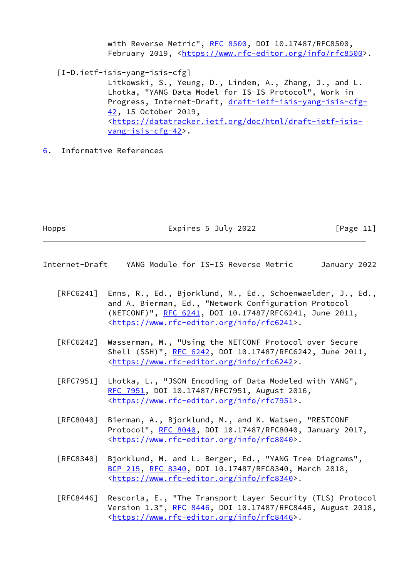<span id="page-12-2"></span>with Reverse Metric", [RFC 8500](https://datatracker.ietf.org/doc/pdf/rfc8500), DOI 10.17487/RFC8500, February 2019, <<https://www.rfc-editor.org/info/rfc8500>>. [I-D.ietf-isis-yang-isis-cfg] Litkowski, S., Yeung, D., Lindem, A., Zhang, J., and L. Lhotka, "YANG Data Model for IS-IS Protocol", Work in Progress, Internet-Draft, [draft-ietf-isis-yang-isis-cfg-](https://datatracker.ietf.org/doc/pdf/draft-ietf-isis-yang-isis-cfg-42) [42,](https://datatracker.ietf.org/doc/pdf/draft-ietf-isis-yang-isis-cfg-42) 15 October 2019, <[https://datatracker.ietf.org/doc/html/draft-ietf-isis](https://datatracker.ietf.org/doc/html/draft-ietf-isis-yang-isis-cfg-42) [yang-isis-cfg-42>](https://datatracker.ietf.org/doc/html/draft-ietf-isis-yang-isis-cfg-42).

<span id="page-12-0"></span>[6](#page-12-0). Informative References

Hopps Expires 5 July 2022 [Page 11]

<span id="page-12-1"></span>Internet-Draft YANG Module for IS-IS Reverse Metric January 2022

- [RFC6241] Enns, R., Ed., Bjorklund, M., Ed., Schoenwaelder, J., Ed., and A. Bierman, Ed., "Network Configuration Protocol (NETCONF)", [RFC 6241,](https://datatracker.ietf.org/doc/pdf/rfc6241) DOI 10.17487/RFC6241, June 2011, <[https://www.rfc-editor.org/info/rfc6241>](https://www.rfc-editor.org/info/rfc6241).
- [RFC6242] Wasserman, M., "Using the NETCONF Protocol over Secure Shell (SSH)", [RFC 6242](https://datatracker.ietf.org/doc/pdf/rfc6242), DOI 10.17487/RFC6242, June 2011, <[https://www.rfc-editor.org/info/rfc6242>](https://www.rfc-editor.org/info/rfc6242).
- [RFC7951] Lhotka, L., "JSON Encoding of Data Modeled with YANG", [RFC 7951,](https://datatracker.ietf.org/doc/pdf/rfc7951) DOI 10.17487/RFC7951, August 2016, <[https://www.rfc-editor.org/info/rfc7951>](https://www.rfc-editor.org/info/rfc7951).
- [RFC8040] Bierman, A., Bjorklund, M., and K. Watsen, "RESTCONF Protocol", [RFC 8040](https://datatracker.ietf.org/doc/pdf/rfc8040), DOI 10.17487/RFC8040, January 2017, <[https://www.rfc-editor.org/info/rfc8040>](https://www.rfc-editor.org/info/rfc8040).
- [RFC8340] Bjorklund, M. and L. Berger, Ed., "YANG Tree Diagrams", [BCP 215](https://datatracker.ietf.org/doc/pdf/bcp215), [RFC 8340,](https://datatracker.ietf.org/doc/pdf/rfc8340) DOI 10.17487/RFC8340, March 2018, <[https://www.rfc-editor.org/info/rfc8340>](https://www.rfc-editor.org/info/rfc8340).
- [RFC8446] Rescorla, E., "The Transport Layer Security (TLS) Protocol Version 1.3", [RFC 8446](https://datatracker.ietf.org/doc/pdf/rfc8446), DOI 10.17487/RFC8446, August 2018, <[https://www.rfc-editor.org/info/rfc8446>](https://www.rfc-editor.org/info/rfc8446).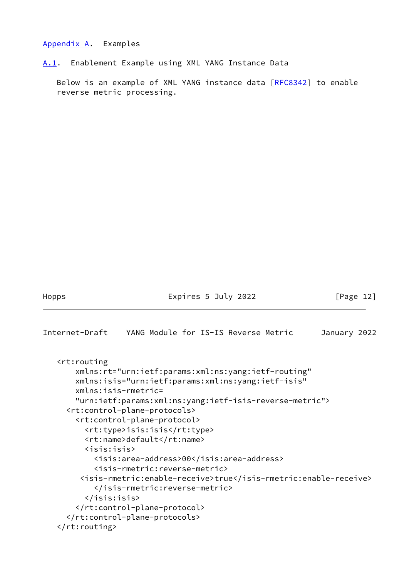### <span id="page-13-0"></span>[Appendix A.](#page-13-0) Examples

<span id="page-13-1"></span>[A.1](#page-13-1). Enablement Example using XML YANG Instance Data

Below is an example of XML YANG instance data [[RFC8342](https://datatracker.ietf.org/doc/pdf/rfc8342)] to enable reverse metric processing.

Hopps Expires 5 July 2022 [Page 12]

```
Internet-Draft YANG Module for IS-IS Reverse Metric January 2022
    <rt:routing
        xmlns:rt="urn:ietf:params:xml:ns:yang:ietf-routing"
        xmlns:isis="urn:ietf:params:xml:ns:yang:ietf-isis"
        xmlns:isis-rmetric=
        "urn:ietf:params:xml:ns:yang:ietf-isis-reverse-metric">
      <rt:control-plane-protocols>
        <rt:control-plane-protocol>
          <rt:type>isis:isis</rt:type>
          <rt:name>default</rt:name>
          <isis:isis>
            <isis:area-address>00</isis:area-address>
            <isis-rmetric:reverse-metric>
         <isis-rmetric:enable-receive>true</isis-rmetric:enable-receive>
            </isis-rmetric:reverse-metric>
          </isis:isis>
        </rt:control-plane-protocol>
      </rt:control-plane-protocols>
    </rt:routing>
```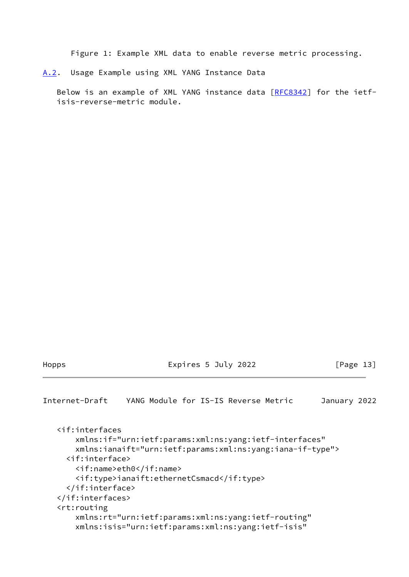Figure 1: Example XML data to enable reverse metric processing.

<span id="page-14-0"></span>[A.2](#page-14-0). Usage Example using XML YANG Instance Data

 Below is an example of XML YANG instance data [[RFC8342](https://datatracker.ietf.org/doc/pdf/rfc8342)] for the ietf isis-reverse-metric module.

Hopps Expires 5 July 2022 [Page 13]

<span id="page-14-1"></span>Internet-Draft YANG Module for IS-IS Reverse Metric January 2022

 <if:interfaces xmlns:if="urn:ietf:params:xml:ns:yang:ietf-interfaces" xmlns:ianaift="urn:ietf:params:xml:ns:yang:iana-if-type"> <if:interface> <if:name>eth0</if:name> <if:type>ianaift:ethernetCsmacd</if:type> </if:interface> </if:interfaces> <rt:routing xmlns:rt="urn:ietf:params:xml:ns:yang:ietf-routing" xmlns:isis="urn:ietf:params:xml:ns:yang:ietf-isis"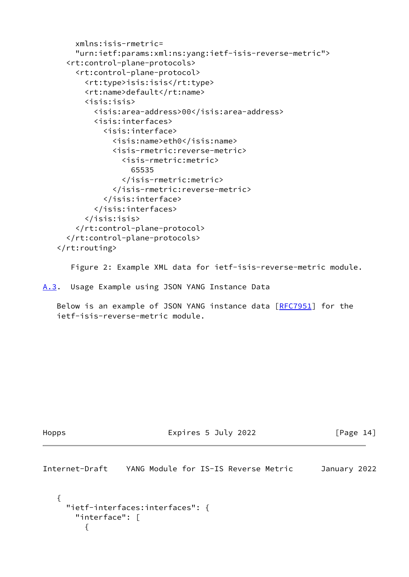```
 xmlns:isis-rmetric=
     "urn:ietf:params:xml:ns:yang:ietf-isis-reverse-metric">
   <rt:control-plane-protocols>
     <rt:control-plane-protocol>
       <rt:type>isis:isis</rt:type>
       <rt:name>default</rt:name>
       <isis:isis>
         <isis:area-address>00</isis:area-address>
         <isis:interfaces>
           <isis:interface>
             <isis:name>eth0</isis:name>
             <isis-rmetric:reverse-metric>
                <isis-rmetric:metric>
                  65535
                </isis-rmetric:metric>
             </isis-rmetric:reverse-metric>
           </isis:interface>
         </isis:interfaces>
       </isis:isis>
     </rt:control-plane-protocol>
   </rt:control-plane-protocols>
 </rt:routing>
```
Figure 2: Example XML data for ietf-isis-reverse-metric module.

<span id="page-15-0"></span>[A.3](#page-15-0). Usage Example using JSON YANG Instance Data

Below is an example of JSON YANG instance data [\[RFC7951](https://datatracker.ietf.org/doc/pdf/rfc7951)] for the ietf-isis-reverse-metric module.

Hopps Expires 5 July 2022 [Page 14]

<span id="page-15-1"></span>Internet-Draft YANG Module for IS-IS Reverse Metric January 2022

```
 {
   "ietf-interfaces:interfaces": {
     "interface": [
       {
```